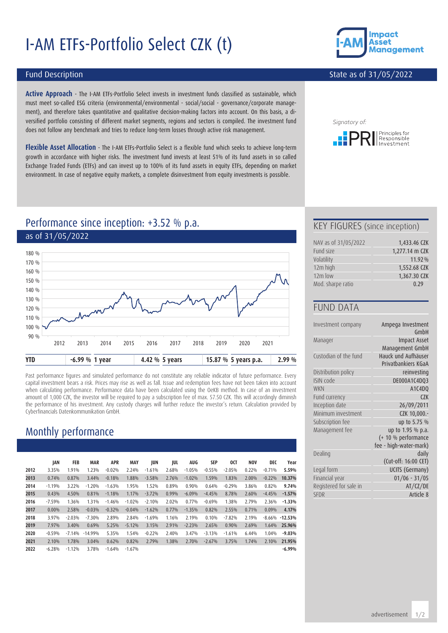# I-AM ETFs-Portfolio Select CZK (t)



#### State as of 31/05/2022

#### Fund Description

**Active Approach** - The I-AM ETFs-Portfolio Select invests in investment funds classified as sustainable, which must meet so-called ESG criteria (environmental/environmental - social/social - governance/corporate management), and therefore takes quantitative and qualitative decision-making factors into account. On this basis, a diversified portfolio consisting of different market segments, regions and sectors is compiled. The investment fund does not follow any benchmark and tries to reduce long-term losses through active risk management.

**Flexible Asset Allocation** - The I-AM ETFs-Portfolio Select is a flexible fund which seeks to achieve long-term growth in accordance with higher risks. The investment fund invests at least 51% of its fund assets in so called Exchange Traded Funds (ETFs) and can invest up to 100% of its fund assets in equity ETFs, depending on market environment. In case of negative equity markets, a complete disinvestment from equity investments is possible.



## Performance since inception: +3.52 % p.a. as of 31/05/2022



Past performance figures and simulated performance do not constitute any reliable indicator of future performance. Every capital investment bears a risk. Prices may rise as well as fall. Issue and redemption fees have not been taken into account when calculating performance. Performance data have been calculated using the OeKB method. In case of an investment amount of 1,000 CZK, the investor will be required to pay a subscription fee of max. 57.50 CZK. This will accordingly diminish the performance of his investment. Any custody charges will further reduce the investor's return. Calculation provided by Cyberfinancials Datenkommunikation GmbH.

# Monthly performance

|      | JAN      | FEB      | <b>MAR</b> | <b>APR</b> | MAY      | JUN      | JUL   | AUG      | <b>SEP</b> | 0CT      | <b>NOV</b> | DEC      | Year      |
|------|----------|----------|------------|------------|----------|----------|-------|----------|------------|----------|------------|----------|-----------|
| 2012 | 3.35%    | 1.91%    | 1.23%      | $-0.02%$   | 2.24%    | $-1.61%$ | 2.68% | $-1.05%$ | $-0.55%$   | $-2.05%$ | 0.22%      | $-0.71%$ | 5.59%     |
| 2013 | 0.74%    | 0.87%    | 3.44%      | $-0.18%$   | 1.88%    | $-3.58%$ | 2.76% | $-1.02%$ | 1.59%      | 1.83%    | 2.00%      | $-0.22%$ | 10.37%    |
| 2014 | $-1.19%$ | 3.22%    | $-1.20%$   | $-1.63%$   | 1.95%    | 1.52%    | 0.89% | 0.90%    | 0.64%      | $-0.29%$ | 3.86%      | 0.82%    | 9.74%     |
| 2015 | 0.43%    | 4.50%    | 0.81%      | $-1.18%$   | 1.17%    | $-3.72%$ | 0.99% | $-6.09%$ | $-4.45%$   | 8.78%    | 2.60%      | $-4.45%$ | $-1.57%$  |
| 2016 | $-7.59%$ | 1.36%    | 1.31%      | $-1.46%$   | $-1.02%$ | $-2.10%$ | 2.02% | 0.77%    | $-0.69%$   | 1.38%    | 2.79%      | 2.36%    | $-1.33%$  |
| 2017 | 0.00%    | 2.58%    | $-0.03%$   | $-0.32%$   | $-0.04%$ | $-1.62%$ | 0.77% | $-1.35%$ | 0.82%      | 2.55%    | 0.71%      | 0.09%    | 4.17%     |
| 2018 | 3.97%    | $-2.03%$ | $-7.30%$   | 2.89%      | 2.84%    | $-1.69%$ | 1.16% | 2.19%    | 0.10%      | $-7.82%$ | 2.19%      | $-8.66%$ | $-12.53%$ |
| 2019 | 7.97%    | 3.40%    | 0.69%      | 5.25%      | $-5.12%$ | 3.15%    | 2.91% | $-2.23%$ | 2.65%      | 0.90%    | 2.69%      | 1.64%    | 25.96%    |
| 2020 | $-0.59%$ | $-7.14%$ | $-14.99%$  | 5.35%      | 1.54%    | $-0.22%$ | 2.40% | 3.47%    | $-3.13%$   | $-1.61%$ | 6.44%      | 1.04%    | $-9.03%$  |
| 2021 | 2.10%    | 1.78%    | 3.04%      | 0.62%      | 0.82%    | 2.79%    | 1.38% | 2.70%    | $-2.67%$   | 3.75%    | 1.74%      | 2.10%    | 21.95%    |
| 2022 | $-6.28%$ | $-1.12%$ | 3.78%      | $-1.64%$   | $-1.67%$ |          |       |          |            |          |            |          | $-6.99%$  |

#### KEY FIGURES (since inception)

| NAV as of 31/05/2022 | 1,433.46 CZK   |
|----------------------|----------------|
| Fund size            | 1,277.14 m CZK |
| Volatility           | 11.92%         |
| 12m high             | 1,552.68 CZK   |
| $12m$ low            | 1,367.30 CZK   |
| Mod. sharpe ratio    | 0.29           |

#### FUND DATA

| Investment company     | Ampega Investment<br>GmbH                  |
|------------------------|--------------------------------------------|
| Manager                | <b>Impact Asset</b><br>Management GmbH     |
| Custodian of the fund  | Hauck und Aufhäuser<br>Privatbankiers KGaA |
| Distribution policy    | reinvesting                                |
| ISIN code              | DE000A1C4DQ3                               |
| <b>WKN</b>             | A1C4DQ                                     |
| Fund currency          | C2K                                        |
| Inception date         | 26/09/2011                                 |
| Minimum investment     | CZK 10,000.-                               |
| Subscription fee       | up to 5.75 %                               |
| Management fee         | up to 1.95 % p.a.                          |
|                        | (+ 10 % performance                        |
|                        | fee - high-water-mark)                     |
| Dealing                | daily                                      |
|                        | (Cut-off: 16:00 CET)                       |
| Legal form             | UCITS (Germany)                            |
| Financial year         | $01/06 - 31/05$                            |
| Registered for sale in | AT/CZ/DE                                   |
| <b>SFDR</b>            | Article 8                                  |
|                        |                                            |